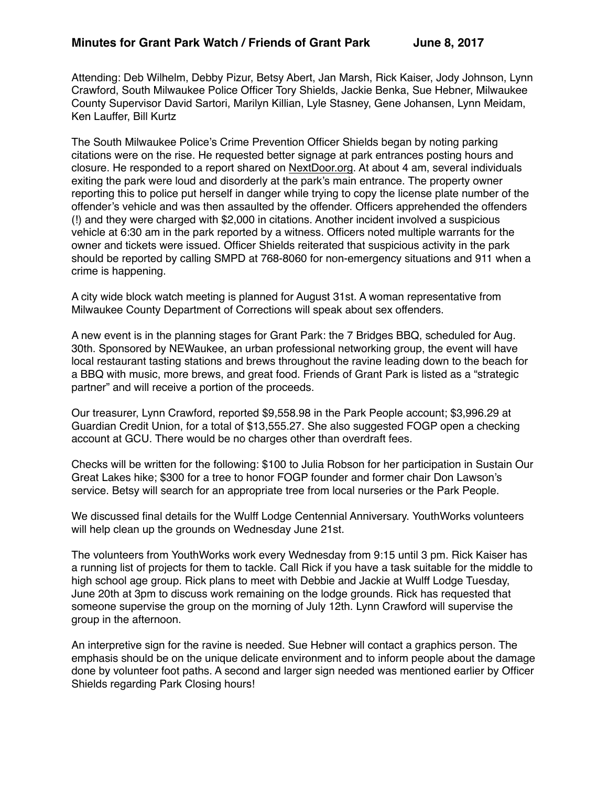Attending: Deb Wilhelm, Debby Pizur, Betsy Abert, Jan Marsh, Rick Kaiser, Jody Johnson, Lynn Crawford, South Milwaukee Police Officer Tory Shields, Jackie Benka, Sue Hebner, Milwaukee County Supervisor David Sartori, Marilyn Killian, Lyle Stasney, Gene Johansen, Lynn Meidam, Ken Lauffer, Bill Kurtz

The South Milwaukee Police's Crime Prevention Officer Shields began by noting parking citations were on the rise. He requested better signage at park entrances posting hours and closure. He responded to a report shared on [NextDoor.org.](http://NextDoor.org) At about 4 am, several individuals exiting the park were loud and disorderly at the park's main entrance. The property owner reporting this to police put herself in danger while trying to copy the license plate number of the offender's vehicle and was then assaulted by the offender. Officers apprehended the offenders (!) and they were charged with \$2,000 in citations. Another incident involved a suspicious vehicle at 6:30 am in the park reported by a witness. Officers noted multiple warrants for the owner and tickets were issued. Officer Shields reiterated that suspicious activity in the park should be reported by calling SMPD at 768-8060 for non-emergency situations and 911 when a crime is happening.

A city wide block watch meeting is planned for August 31st. A woman representative from Milwaukee County Department of Corrections will speak about sex offenders.

A new event is in the planning stages for Grant Park: the 7 Bridges BBQ, scheduled for Aug. 30th. Sponsored by NEWaukee, an urban professional networking group, the event will have local restaurant tasting stations and brews throughout the ravine leading down to the beach for a BBQ with music, more brews, and great food. Friends of Grant Park is listed as a "strategic partner" and will receive a portion of the proceeds.

Our treasurer, Lynn Crawford, reported \$9,558.98 in the Park People account; \$3,996.29 at Guardian Credit Union, for a total of \$13,555.27. She also suggested FOGP open a checking account at GCU. There would be no charges other than overdraft fees.

Checks will be written for the following: \$100 to Julia Robson for her participation in Sustain Our Great Lakes hike; \$300 for a tree to honor FOGP founder and former chair Don Lawson's service. Betsy will search for an appropriate tree from local nurseries or the Park People.

We discussed final details for the Wulff Lodge Centennial Anniversary. YouthWorks volunteers will help clean up the grounds on Wednesday June 21st.

The volunteers from YouthWorks work every Wednesday from 9:15 until 3 pm. Rick Kaiser has a running list of projects for them to tackle. Call Rick if you have a task suitable for the middle to high school age group. Rick plans to meet with Debbie and Jackie at Wulff Lodge Tuesday, June 20th at 3pm to discuss work remaining on the lodge grounds. Rick has requested that someone supervise the group on the morning of July 12th. Lynn Crawford will supervise the group in the afternoon.

An interpretive sign for the ravine is needed. Sue Hebner will contact a graphics person. The emphasis should be on the unique delicate environment and to inform people about the damage done by volunteer foot paths. A second and larger sign needed was mentioned earlier by Officer Shields regarding Park Closing hours!